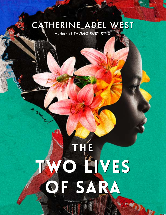# CATHERINE ADEL WEST

Author of SAVING RUBY KING

## THE THE TWO LIVES TWO LIVES OF SARA OF SARA **MAY**

Wal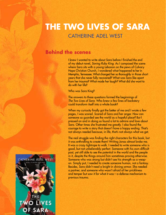## **THE TWO LIVES OF SARA** CATHERINE ADEL WEST

### **Behind the scenes**

I knew I wanted to write about Sara before I finished the end of my debut novel, *Saving Ruby King*. As I composed the scene where Sara sits with a young Lebanon on the pews of Calvary Hope Christian Church, I wondered what happened to her in Memphis, Tennessee. What changed her so thoroughly in those short years that she never fully recovered? What was Sara like apart from her trauma? What made her laugh? What did she want to do with her life?

Who was Sara King?

The answers to these questions formed the beginnings of *The Two Lives of Sara*. Who knew a few lines of backstory could transform itself into a whole book?

When my curiosity finally got the better of me and I wrote a few pages, I was scared. Scared of Sara and her anger. How can someone so guarded see the world as a hopeful place? But I pressed on and in doing so found a lot to admire and love about Sara. Other times she frustrated me greatly. I also found the courage to write a story that doesn't have a happy ending. That's not always needed because, in life, that's not always what we get.

The real struggle was finding the right characters for this book, but it was enthralling to create them! Writing Jonas almost broke me. It was a crazy tightrope to walk. I needed to write someone who is good, but not unbelievably perfect. Someone with his own difficult past, yet still able to see the potential in the world and the people in it, despite the things around him sometimes proving otherwise. Someone who was strong but didn't see his strength as a weapon. Simply put, I needed to create someone human, not a fantasy. Besides, Sara didn't need a knight in shining armor. She needed a partner, and someone who wasn't afraid of her prickliness and temper but saw it for what it was—a defense mechanism to previous trauma.

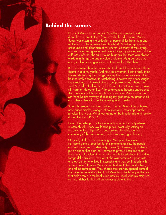### **Behind the scenes**

I'll admit Mama Sugar and Mr. Vanellys were easier to write. I didn't have to create them from scratch like I did Jonas. Mama Sugar was essentially a collection of personalities from my grandmother and older women at my church. Mr. Vanellys represented my great-uncle and older men at my church. So many of the sayings and euphemisms I grew up with were things my granny said off the cuff. Most of what she said I found hilarious, but there was always wisdom in things she and my elders told me. My great-uncle was always a kind man, gentle and nothing really rattled him.

But there were also always secrets. And I could never breach those depths, not in my youth. And now, as a woman, I don't really think the secrets they kept, or things they kept from me, were meant to be inherently deceptive. In withholding, I believe my elders sought to protect me, and protect others from pain—theirs, others, the world's. And as foolhardy and selfless as this intention was, it was still harmful. However, I can't force anyone to become unburdened. And since a lot of those people are gone now, Mama Sugar and Mr. Vanellys are my way of keeping my grandma, my great-uncle and other elders with me. It's a loving kind of selfish.

So much research went into writing *The Two Lives of Sara*. Books, newspaper articles, Google (of course), and, most importantly, physical interviews. What was going on both nationally and locally during the early 1960s?

I spent the better part of two months figuring out exactly where in Memphis this story would take place (eventually settling on the community of Hyde Park because my city, Chicago, has a community of the same name, and I took it as a good omen).

Originally, I planned on traveling to Memphis, Tennessee, so I could get a proper feel for this phenomenal city, the people, and eat some great barbecue (just sayin'). However, a pandemic put an end to that plan, so I learned to pivot. If I couldn't roam the streets, if I couldn't interact with people face-to-face, if I had to forego delicious food, then what else was possible? I spoke with a fellow author who lived in Memphis and was put in touch with some wonderful native Memphians. And we talked, and talked, and talked some more! They shared their stories, opened parts of their lives to me and spoke about Memphis—the history of the city that didn't come in the books and articles I read. And my story was so much richer for it. I will be forever grateful to them.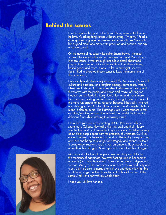### **Behind the scenes**

Food is another big part of this book. It's expression. It's freedom. It's love. It's asking forgiveness without saying "I'm sorry." Food is an unspoken language because sometimes words aren't enough, but a good meal, one made with precision and passion, can say what we cannot.

On the advice of my super-wise editor, Laura Brown, I trimmed some of the scenes in the kitchen between Sara and Mama Sugar. In those scenes, I went through meticulous detail about food preparation, how to cook certain traditional Southern dishes, baked goods and more. It was…a lot. In hindsight, she was right. I had to shore up those scenes to keep the momentum of the book steady.

I vigorously and intentionally inundated *The Two Lives of Sara* with culture and blackness and laughter amongst some tears. Music. Literature. Fashion. Art. I want readers to discover or reacquaint themselves with the poems and books and essays of Langston Hughes, James Baldwin, Zora Neale Hurston and many more literary icons. Finding and referencing the right music was one of the more fun aspects of my research because it basically involved me listening to Sam Cooke, Nina Simone, The Marvelettes, Bobby Bland, Solomon Burke, The Flamingos, etc. I want readers to feel as if they're sitting around the table at The Scarlet Poplar eating delicious food while listening to amazing music.

I took such pleasure incorporating HBCUs (Spelman College, Morehouse College, Howard University, etc.) and their history into the lives and backgrounds of my characters. I'm telling a story about black people apart from the proximity of whiteness. Our lives are not defined by the racism around us. The ability to express joy and love and happiness; anger and tragedy and sadness without it being about race and racism was paramount. Black people are more than their struggle. Sara represents more than her struggle!

Most importantly, I want people to see Sara truly and fully. In the moments of happiness (however fleeting) and in her somber moments (no matter how deep), Sara is a fierce and independent woman. And yes, that sometimes means she's messy and petty and cruel, but she's also vulnerable and brave and deeply loving. She is all these things, but the characters in this book love her all the same. And I love her with my whole heart.

I hope you will love her, too.

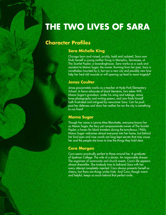### **Character Profiles**

### **Sara Michelle King**

Chicago born and raised, prickly, bold and isolated, Sara now finds herself a young mother living in Memphis, Tennessee, at The Scarlet Poplar, a boardinghouse. Sara works as a cook and assistant to Mama Sugar, the owner. Running from her past, Sara is nonetheless haunted by it, but can a new city and possibly new love help her heal old wounds or will opening up lead to more tragedy?

#### **Jonas Coulter**

Jonas passionately works as a teacher at Hyde Park Elementary School. A fierce advocate of black literature, he's taken Will, Mama Sugar's grandson, under his wing and tutelage. Jonas loves photography and writing poems, and now finds himself both frustrated and intrigued by newcomer Sara. Can he push past her defenses and show her neither he nor the city is something to run from?

### **Mama Sugar**

Though her name is Lennie Mae Blanchette, everyone knows her as Mama Sugar, the fiery yet compassionate owner of The Scarlet Poplar, a haven for black travelers during the tumultuous 1960s. Mama Sugar welcomes almost everyone into her home, but behind her kind eyes and wise words are long-kept secrets that may cause her and the people she loves to lose the things they hold dear.

### **Cora Morgan**

Cora seems practically perfect to those around her. A graduate of Spelman College. The wife of a doctor. An impeccable dresser. The organizer of community and church events. Cora's life appears almost dreamlike. She tirelessly tries to befriend Sara with her every attempt completely rejected. Cora always presents herself as cheery, but there are things smiles hide. And Cora, though warm and helpful, keeps so much behind that perfect smile.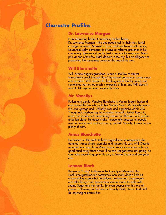### **Character Profiles**

#### **Dr. Lawrence Morgan**

From delivering babies to mending broken bones, Dr. Lawrence Morgan is the one people call in their most joyful or tragic moments. Married to Cora and best friends with Jonas, Lawrence's calm demeanor is always a welcome presence in his community. Lawrence does his best to service those around Memphis as one of the few black doctors in the city, but his diligence to preserving life sometimes comes at the cost of his own.

#### **Will Blanchette**

Will, Mama Sugar's grandson, is one of the few to almost immediately break through Sara's hardened demeanor. Lonely, smart and sensitive, Will devours the books given to him by Jonas, but sometimes worries too much is expected of him, and Will doesn't want to let anyone down, especially Sara.

### **Mr. Vanellys**

Patient and gentle, Vanellys Blanchette is Mama Sugar's husband and one of the few who calls her "Lennie Mae." Mr. Vanellys owns the local garage and is blindly loyal and supportive of his wife. Though not overbearing, he considers himself a father figure to Sara, but she doesn't immediately return his affections and prefers to be left alone. He doesn't take it personally because all people need is time to heal and find mercy, and Mr. Vanellys knows he has plenty of both.

### **Amos Blanchette**

Everyone's on this earth to have a good time, consequences be damned! Amos drinks, gambles and ignores his son, Will. Despite repeated warnings from Mama Sugar, Amos knows he's only one good hand away from riches. If he can just get some luck going, he can make everything up to his son, to Mama Sugar and everyone else.

### **Lennox Black**

Known as "Lucky" to those in the fine city of Memphis, this small-time gambler and sometimes loan shark does a little bit of everything to get what he believes he deserves. Unapologetic and effortlessly cruel, Lennox has serious scores to settle with Mama Sugar and her family. But even deeper than his love of power and money, is his love for his only child, Diane. And he'll do *anything* to protect her.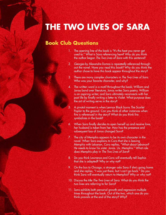### **Book Club Questions**

- 1. The opening line of the book is "It's the heat you never get used to." What is Sara referencing here? Why do you think the author began *The Two Lives of Sara* with this sentence?
- 2. *Georges* by Alexandre Dumas is repeatedly referenced throughout the novel. Have you read this book? Why do you think the author chose to have this book appear throughout the story?
- 3. There are many complex characters in *The Two Lives of Sara.* Who was your favorite character, and why?
- 4. The written word is a motif throughout the book; William and Jonas bond over literature, Jonas writes Sara poetry, William is an aspiring writer, and Sara ultimately reconnects with her past life by finally writing a letter to Violet. What purpose does the act of writing serve in the story?
- 5. A pivotal moment is when Lennox Black burns The Scarlet Poplar to the ground. Can you think of other instances when fire is referenced in the story? What do you think fire symbolizes in the book?
- 6. When Sara finally decides to open herself up and receive love, her husband is taken from her. How has the presence and subsequent loss of Jonas changed Sara?
- 7. The city of Memphis appears to be its own character in the novel. When Sara explains to Cora that she is leaving Memphis with Lebanon, Cora replies, "What about Lebanon? He needs to know his sister. Jonas. Us. Memphis." What role does Memphis play in *The Two Lives of Sara*?
- 8. Do you think Lawrence and Cora will eventually tell Sophia that she is adopted? Why or why not?
- 9. On the bus to Chicago, a stranger asks Sara if she's going home and she replies, "I was just there, but I can't go back." Do you think Sara will eventually return to Memphis? Why or why not?
- 10. Discuss the title *The Two Lives of Sara*. What do you think the two lives are referring to for Sara?
- 11. Sara exhibits both personal growth and regression multiple times throughout the book. Out of the two, which one do you think prevails at the end of the story? Why?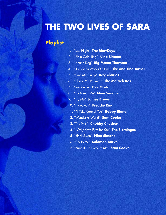## **Playlist**

- 1. "Last Night" **The Mar-Keys**
- 2. "Plain Gold Ring" **Nina Simone**
- 3. "Hound Dog" **Big Mama Thornton**
- 4. "It's Gonna Work Out Fine" **Ike and Tina Turner**
- 5. "One Mint Julep" **Ray Charles**
- 6. "Please Mr. Postman" **The Marvelettes**
- 7. "Raindrops" **Dee Clark**
- 8. "He Needs Me" **Nina Simone**
- 9. "Try Me" **James Brown**
- 10. "Hideaway" **Freddie King**
- 11. "I'll Take Care of You" **Bobby Bland**
- 12. "Wonderful World" **Sam Cooke**
- 13. "The Twist" **Chubby Checker**
- 14. "I Only Have Eyes for You" **The Flamingos**
- 15. "Black Swan" **Nina Simone**
- 16. "Cry to Me" **Solomon Burke**
- 17. "Bring It On Home to Me" **Sam Cooke**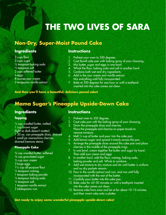## **Non-Dry, Super-Moist Pound Cake**

### **Ingredients**

3 cups flour 3 cups sugar ½ teaspoon baking soda ½ teaspoon salt 2 cups softened butter 6 eggs 8 ounces sour cream 2 teaspoons vanilla extract

### **Instructions**

- 1. Preheat your oven to 350 degrees.
- 2. Coat Bundt cake pan with baking spray of your choosing.
- 3. Mix butter, sugar and eggs in one bowl.
- 4. Whisk the flour, baking soda and salt in another bowl.
- 5. Combine both wet and dry ingredients.
- 6. Add in the sour cream and vanilla extract. Mix everything until fully incorporated.
- 7. Bake at 350 degrees for one hour or until a toothpick inserted into the cake comes out clean.

**And then you'll have a beautiful, delicious pound cake!**

## **Mama Sugar's Pineapple Upside-Down Cake**

### **Ingredients**

#### **Topping**

 $\frac{1}{2}$  cup unsalted butter, melted 1 cup brown sugar (light or dark doesn't matter) 1 20 oz. can pineapple slices, drained 1 small jar maraschino cherries, drained (remove stems)

#### **Pineapple Cake**

- ¾ cup unsalted butter, softened ¾ cup granulated sugar ½ cup sour cream 3 large eggs 1½ cup all-purpose flour ½ teaspoon nutmeg 1 teaspoon baking powder  $\frac{1}{4}$  teaspoon baking soda ½ teaspoon salt
- 1 teaspoon vanilla extract
- 2 tablespoons rum

### **Instructions**

- 1. Preheat oven to 350 degrees.
- 2. Coat cake pan with the baking spray of your choosing.
- 3. Drain the pineapple slices and cherries. Place the pineapple and cherries on paper towels to remove moisture.
- 4. Melt ½ cup of butter and pour into the cake pan.
- 5. Add brown sugar and spread it evenly across the pan.
- 6. Arrange the pineapple slices around the cake pan and place cherries in the middle of the pineapple rings.
- 7. In one bowl, cream together the butter and sugar by hand. Then add sour cream and eggs.
- 8. In another bowl, add the flour, nutmeg, baking soda, baking powder and salt. Whisk to combine.
- 9. Add wet mixture to dry mixture and stir until batter is uniform and no dry pockets remain.
- 10. Pour in the vanilla extract and rum, and mix until fully incorporated with the rest of the batter.
- 11. Carefully pour batter into the cake pan.
- 12. Bake cake for 45–50 minutes or until a toothpick inserted into the cake comes out clean.
- 13. Remove cake from oven and let sit for about 10–15 minutes and then invert cake onto a platter.

**Get ready to enjoy some wonderful pineapple upside-down cake!**